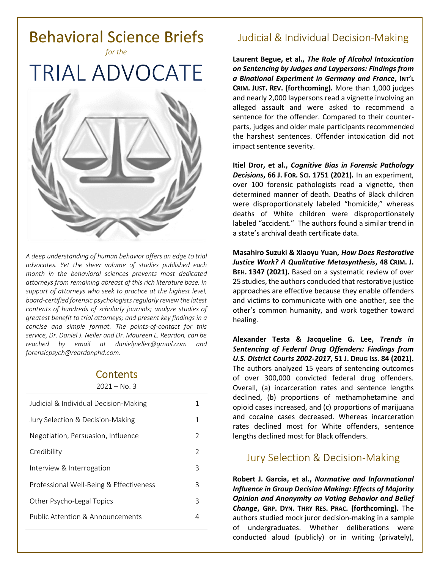

*A deep understanding of human behavior offers an edge to trial advocates. Yet the sheer volume of studies published each month in the behavioral sciences prevents most dedicated attorneys from remaining abreast of this rich literature base. In support of attorneys who seek to practice at the highest level, board-certified forensic psychologists regularly review the latest contents of hundreds of scholarly journals; analyze studies of greatest benefit to trial attorneys; and present key findings in a concise and simple format. The points-of-contact for this service, Dr. Daniel J. Neller and Dr. Maureen L. Reardon, can be reached by email at [danieljneller@gmail.com](mailto:danieljneller@gmail.com) and [forensicpsych@reardonphd.com.](mailto:forensicpsych@reardonphd.com)* 

#### Contents  $2021 - N_0$  3

| ᅩᇰᄼᅩ<br>.                               |                |
|-----------------------------------------|----------------|
| Judicial & Individual Decision-Making   | 1              |
| Jury Selection & Decision-Making        | 1              |
| Negotiation, Persuasion, Influence      | $\mathcal{P}$  |
| Credibility                             | $\mathfrak{D}$ |
| Interview & Interrogation               | 3              |
| Professional Well-Being & Effectiveness | 3              |
| Other Psycho-Legal Topics               | 3              |
| Public Attention & Announcements        | 4              |
|                                         |                |

## **Judicial & Individual Decision-Making**

**Laurent Begue, et al.,** *The Role of Alcohol Intoxication on Sentencing by Judges and Laypersons: Findings from a Binational Experiment in Germany and France***, INT'L CRIM. JUST. REV. (forthcoming).** More than 1,000 judges and nearly 2,000 laypersons read a vignette involving an alleged assault and were asked to recommend a sentence for the offender. Compared to their counterparts, judges and older male participants recommended the harshest sentences. Offender intoxication did not impact sentence severity.

**Itiel Dror, et al.,** *Cognitive Bias in Forensic Pathology Decisions***, 66 J. FOR. SCI. 1751 (2021).** In an experiment, over 100 forensic pathologists read a vignette, then determined manner of death. Deaths of Black children were disproportionately labeled "homicide," whereas deaths of White children were disproportionately labeled "accident." The authors found a similar trend in a state's archival death certificate data.

**Masahiro Suzuki & Xiaoyu Yuan,** *How Does Restorative Justice Work? A Qualitative Metasynthesis***, 48 CRIM. J. BEH. 1347 (2021).** Based on a systematic review of over 25 studies, the authors concluded that restorative justice approaches are effective because they enable offenders and victims to communicate with one another, see the other's common humanity, and work together toward healing.

**Alexander Testa & Jacqueline G. Lee,** *Trends in Sentencing of Federal Drug Offenders: Findings from U.S. District Courts 2002-2017***, 51 J. DRUG ISS. 84 (2021).** The authors analyzed 15 years of sentencing outcomes of over 300,000 convicted federal drug offenders. Overall, (a) incarceration rates and sentence lengths declined, (b) proportions of methamphetamine and opioid cases increased, and (c) proportions of marijuana and cocaine cases decreased. Whereas incarceration rates declined most for White offenders, sentence lengths declined most for Black offenders.

### **Jury Selection & Decision-Making**

**Robert J. Garcia, et al.,** *Normative and Informational Influence in Group Decision Making: Effects of Majority Opinion and Anonymity on Voting Behavior and Belief Change***, GRP. DYN. THRY RES. PRAC. (forthcoming).** The authors studied mock juror decision-making in a sample of undergraduates. Whether deliberations were conducted aloud (publicly) or in writing (privately),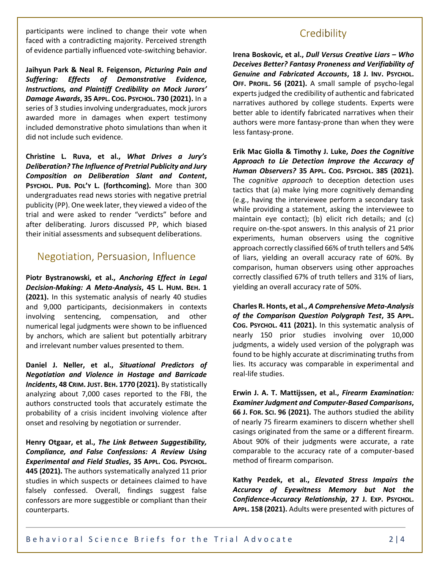participants were inclined to change their vote when faced with a contradicting majority. Perceived strength of evidence partially influenced vote-switching behavior.

**Jaihyun Park & Neal R. Feigenson,** *Picturing Pain and Suffering: Effects of Demonstrative Evidence, Instructions, and Plaintiff Credibility on Mock Jurors' Damage Awards***, 35 APPL. COG. PSYCHOL. 730 (2021).** In a series of 3 studies involving undergraduates, mock jurors awarded more in damages when expert testimony included demonstrative photo simulations than when it did not include such evidence.

**Christine L. Ruva, et al.,** *What Drives a Jury's Deliberation? The Influence of Pretrial Publicity and Jury Composition on Deliberation Slant and Content***, PSYCHOL. PUB. POL'Y L. (forthcoming).** More than 300 undergraduates read news stories with negative pretrial publicity (PP). One week later, they viewed a video of the trial and were asked to render "verdicts" before and after deliberating. Jurors discussed PP, which biased their initial assessments and subsequent deliberations.

#### Negotiation, Persuasion, Influence

**Piotr Bystranowski, et al.,** *Anchoring Effect in Legal Decision-Making: A Meta-Analysis***, 45 L. HUM. BEH. 1 (2021).** In this systematic analysis of nearly 40 studies and 9,000 participants, decisionmakers in contexts involving sentencing, compensation, and other numerical legal judgments were shown to be influenced by anchors, which are salient but potentially arbitrary and irrelevant number values presented to them.

**Daniel J. Neller, et al.,** *Situational Predictors of Negotiation and Violence in Hostage and Barricade Incidents***, 48 CRIM. JUST. BEH. 1770 (2021).** By statistically analyzing about 7,000 cases reported to the FBI, the authors constructed tools that accurately estimate the probability of a crisis incident involving violence after onset and resolving by negotiation or surrender.

**Henry Otgaar, et al.,** *The Link Between Suggestibility, Compliance, and False Confessions: A Review Using Experimental and Field Studies***, 35 APPL. COG. PSYCHOL. 445 (2021).** The authors systematically analyzed 11 prior studies in which suspects or detainees claimed to have falsely confessed. Overall, findings suggest false confessors are more suggestible or compliant than their counterparts.

### Credibility

**Irena Boskovic, et al.,** *Dull Versus Creative Liars – Who Deceives Better? Fantasy Proneness and Verifiability of Genuine and Fabricated Accounts***, 18 J. INV. PSYCHOL. OFF. PROFIL. 56 (2021).** A small sample of psycho-legal experts judged the credibility of authentic and fabricated narratives authored by college students. Experts were better able to identify fabricated narratives when their authors were more fantasy-prone than when they were less fantasy-prone.

**Erik Mac Giolla & Timothy J. Luke,** *Does the Cognitive Approach to Lie Detection Improve the Accuracy of Human Observers?* **35 APPL. COG. PSYCHOL. 385 (2021).** The *cognitive approach* to deception detection uses tactics that (a) make lying more cognitively demanding (e.g., having the interviewee perform a secondary task while providing a statement, asking the interviewee to maintain eye contact); (b) elicit rich details; and (c) require on-the-spot answers. In this analysis of 21 prior experiments, human observers using the cognitive approach correctly classified 66% of truth tellers and 54% of liars, yielding an overall accuracy rate of 60%. By comparison, human observers using other approaches correctly classified 67% of truth tellers and 31% of liars, yielding an overall accuracy rate of 50%.

**Charles R. Honts, et al.,** *A Comprehensive Meta-Analysis of the Comparison Question Polygraph Test***, 35 APPL. COG. PSYCHOL. 411 (2021).** In this systematic analysis of nearly 150 prior studies involving over 10,000 judgments, a widely used version of the polygraph was found to be highly accurate at discriminating truths from lies. Its accuracy was comparable in experimental and real-life studies.

**Erwin J. A. T. Mattijssen, et al.,** *Firearm Examination: Examiner Judgment and Computer-Based Comparisons***, 66 J. FOR. SCI. 96 (2021).** The authors studied the ability of nearly 75 firearm examiners to discern whether shell casings originated from the same or a different firearm. About 90% of their judgments were accurate, a rate comparable to the accuracy rate of a computer-based method of firearm comparison.

**Kathy Pezdek, et al.,** *Elevated Stress Impairs the Accuracy of Eyewitness Memory but Not the Confidence-Accuracy Relationship***, 27 J. EXP. PSYCHOL. APPL. 158 (2021).** Adults were presented with pictures of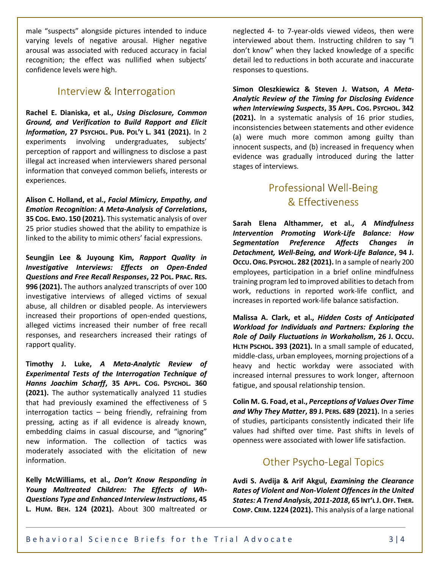male "suspects" alongside pictures intended to induce varying levels of negative arousal. Higher negative arousal was associated with reduced accuracy in facial recognition; the effect was nullified when subjects' confidence levels were high.

### Interview & Interrogation

**Rachel E. Dianiska, et al.,** *Using Disclosure, Common Ground, and Verification to Build Rapport and Elicit Information***, 27 PSYCHOL. PUB. POL'Y L. 341 (2021).** In 2 experiments involving undergraduates, subjects' perception of rapport and willingness to disclose a past illegal act increased when interviewers shared personal information that conveyed common beliefs, interests or experiences.

**Alison C. Holland, et al.,** *Facial Mimicry, Empathy, and Emotion Recognition: A Meta-Analysis of Correlations***, 35 COG. EMO. 150 (2021).** This systematic analysis of over 25 prior studies showed that the ability to empathize is linked to the ability to mimic others' facial expressions.

**Seungjin Lee & Juyoung Kim,** *Rapport Quality in Investigative Interviews: Effects on Open-Ended Questions and Free Recall Responses***, 22 POL. PRAC. RES. 996 (2021).** The authors analyzed transcripts of over 100 investigative interviews of alleged victims of sexual abuse, all children or disabled people. As interviewers increased their proportions of open-ended questions, alleged victims increased their number of free recall responses, and researchers increased their ratings of rapport quality.

**Timothy J. Luke,** *A Meta-Analytic Review of Experimental Tests of the Interrogation Technique of Hanns Joachim Scharff***, 35 APPL. COG. PSYCHOL. 360 (2021).** The author systematically analyzed 11 studies that had previously examined the effectiveness of 5 interrogation tactics – being friendly, refraining from pressing, acting as if all evidence is already known, embedding claims in casual discourse, and "ignoring" new information. The collection of tactics was moderately associated with the elicitation of new information.

**Kelly McWilliams, et al.,** *Don't Know Responding in Young Maltreated Children: The Effects of Wh-Questions Type and Enhanced Interview Instructions***, 45 L. HUM. BEH. 124 (2021).** About 300 maltreated or neglected 4- to 7-year-olds viewed videos, then were interviewed about them. Instructing children to say "I don't know" when they lacked knowledge of a specific detail led to reductions in both accurate and inaccurate responses to questions.

**Simon Oleszkiewicz & Steven J. Watson,** *A Meta-Analytic Review of the Timing for Disclosing Evidence when Interviewing Suspects***, 35 APPL. COG. PSYCHOL. 342 (2021).** In a systematic analysis of 16 prior studies, inconsistencies between statements and other evidence (a) were much more common among guilty than innocent suspects, and (b) increased in frequency when evidence was gradually introduced during the latter stages of interviews.

# **Professional Well-Being** & Effectiveness

**Sarah Elena Althammer, et al.,** *A Mindfulness Intervention Promoting Work-Life Balance: How Segmentation Preference Affects Changes in Detachment, Well-Being, and Work-Life Balance***, 94 J. OCCU.ORG.PSYCHOL. 282 (2021).** In a sample of nearly 200 employees, participation in a brief online mindfulness training program led to improved abilities to detach from work, reductions in reported work-life conflict, and increases in reported work-life balance satisfaction.

**Malissa A. Clark, et al.,** *Hidden Costs of Anticipated Workload for Individuals and Partners: Exploring the Role of Daily Fluctuations in Workaholism***, 26 J. OCCU. HLTH PSCHOL. 393 (2021).** In a small sample of educated, middle-class, urban employees, morning projections of a heavy and hectic workday were associated with increased internal pressures to work longer, afternoon fatigue, and spousal relationship tension.

**Colin M. G. Foad, et al.,** *Perceptions of Values Over Time and Why They Matter***, 89 J. PERS. 689 (2021).** In a series of studies, participants consistently indicated their life values had shifted over time. Past shifts in levels of openness were associated with lower life satisfaction.

# **Other Psycho-Legal Topics**

**Avdi S. Avdija & Arif Akgul,** *Examining the Clearance Rates of Violent and Non-Violent Offences in the United States: A Trend Analysis, 2011-2018***, 65 INT'L J.OFF. THER. COMP. CRIM. 1224 (2021).** This analysis of a large national